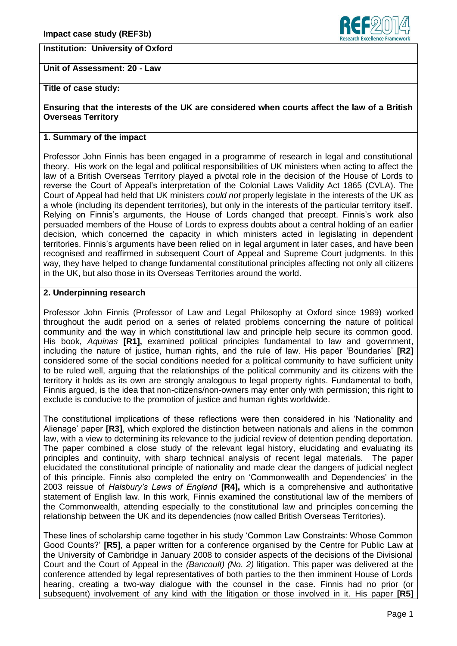## **Institution: University of Oxford**



**Unit of Assessment: 20 - Law**

**Title of case study:**

**Ensuring that the interests of the UK are considered when courts affect the law of a British Overseas Territory**

### **1. Summary of the impact**

Professor John Finnis has been engaged in a programme of research in legal and constitutional theory. His work on the legal and political responsibilities of UK ministers when acting to affect the law of a British Overseas Territory played a pivotal role in the decision of the House of Lords to reverse the Court of Appeal's interpretation of the Colonial Laws Validity Act 1865 (CVLA). The Court of Appeal had held that UK ministers *could not* properly legislate in the interests of the UK as a whole (including its dependent territories), but only in the interests of the particular territory itself. Relying on Finnis's arguments, the House of Lords changed that precept. Finnis's work also persuaded members of the House of Lords to express doubts about a central holding of an earlier decision, which concerned the capacity in which ministers acted in legislating in dependent territories. Finnis's arguments have been relied on in legal argument in later cases, and have been recognised and reaffirmed in subsequent Court of Appeal and Supreme Court judgments. In this way, they have helped to change fundamental constitutional principles affecting not only all citizens in the UK, but also those in its Overseas Territories around the world.

# **2. Underpinning research**

Professor John Finnis (Professor of Law and Legal Philosophy at Oxford since 1989) worked throughout the audit period on a series of related problems concerning the nature of political community and the way in which constitutional law and principle help secure its common good. His book, *Aquinas* **[R1],** examined political principles fundamental to law and government, including the nature of justice, human rights, and the rule of law. His paper 'Boundaries' **[R2]** considered some of the social conditions needed for a political community to have sufficient unity to be ruled well, arguing that the relationships of the political community and its citizens with the territory it holds as its own are strongly analogous to legal property rights. Fundamental to both, Finnis argued, is the idea that non-citizens/non-owners may enter only with permission; this right to exclude is conducive to the promotion of justice and human rights worldwide.

The constitutional implications of these reflections were then considered in his 'Nationality and Alienage' paper **[R3]**, which explored the distinction between nationals and aliens in the common law, with a view to determining its relevance to the judicial review of detention pending deportation. The paper combined a close study of the relevant legal history, elucidating and evaluating its principles and continuity, with sharp technical analysis of recent legal materials. The paper elucidated the constitutional principle of nationality and made clear the dangers of judicial neglect of this principle. Finnis also completed the entry on ‗Commonwealth and Dependencies' in the 2003 reissue of *Halsbury's Laws of England* **[R4],** which is a comprehensive and authoritative statement of English law. In this work, Finnis examined the constitutional law of the members of the Commonwealth, attending especially to the constitutional law and principles concerning the relationship between the UK and its dependencies (now called British Overseas Territories).

These lines of scholarship came together in his study ‗Common Law Constraints: Whose Common Good Counts?' **[R5]**, a paper written for a conference organised by the Centre for Public Law at the University of Cambridge in January 2008 to consider aspects of the decisions of the Divisional Court and the Court of Appeal in the *(Bancoult) (No. 2)* litigation. This paper was delivered at the conference attended by legal representatives of both parties to the then imminent House of Lords hearing, creating a two-way dialogue with the counsel in the case. Finnis had no prior (or subsequent) involvement of any kind with the litigation or those involved in it. His paper **[R5]**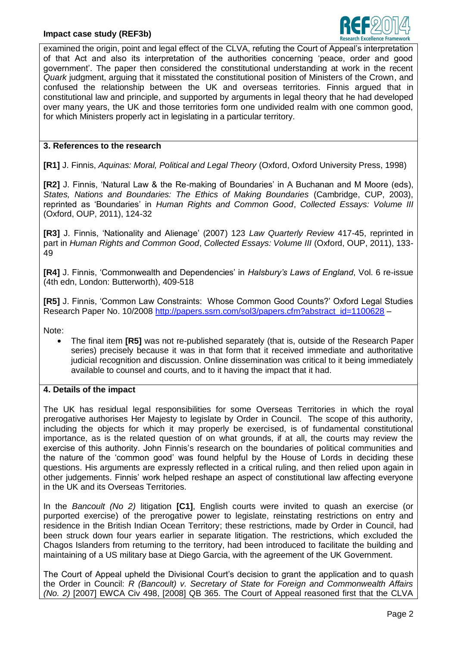

examined the origin, point and legal effect of the CLVA, refuting the Court of Appeal's interpretation of that Act and also its interpretation of the authorities concerning 'peace, order and good government'. The paper then considered the constitutional understanding at work in the recent *Quark* judgment, arguing that it misstated the constitutional position of Ministers of the Crown, and confused the relationship between the UK and overseas territories. Finnis argued that in constitutional law and principle, and supported by arguments in legal theory that he had developed over many years, the UK and those territories form one undivided realm with one common good, for which Ministers properly act in legislating in a particular territory.

#### **3. References to the research**

**[R1]** J. Finnis, *Aquinas: Moral, Political and Legal Theory* (Oxford, Oxford University Press, 1998)

**[R2]** J. Finnis, 'Natural Law & the Re-making of Boundaries' in A Buchanan and M Moore (eds), *States, Nations and Boundaries: The Ethics of Making Boundaries* (Cambridge, CUP, 2003), reprinted as ‗Boundaries' in *Human Rights and Common Good*, *Collected Essays: Volume III* (Oxford, OUP, 2011), 124-32

**[R3]** J. Finnis, ‗Nationality and Alienage' (2007) 123 *Law Quarterly Review* 417-45, reprinted in part in *Human Rights and Common Good*, *Collected Essays: Volume III* (Oxford, OUP, 2011), 133- 49

**[R4]** J. Finnis, ‗Commonwealth and Dependencies' in *Halsbury's Laws of England*, Vol. 6 re-issue (4th edn, London: Butterworth), 409-518

**[R5]** J. Finnis, 'Common Law Constraints: Whose Common Good Counts?' Oxford Legal Studies Research Paper No. 10/2008 [http://papers.ssrn.com/sol3/papers.cfm?abstract\\_id=1100628](http://papers.ssrn.com/sol3/papers.cfm?abstract_id=1100628) –

Note:

The final item **[R5]** was not re-published separately (that is, outside of the Research Paper  $\bullet$ series) precisely because it was in that form that it received immediate and authoritative judicial recognition and discussion. Online dissemination was critical to it being immediately available to counsel and courts, and to it having the impact that it had.

## **4. Details of the impact**

The UK has residual legal responsibilities for some Overseas Territories in which the royal prerogative authorises Her Majesty to legislate by Order in Council. The scope of this authority, including the objects for which it may properly be exercised, is of fundamental constitutional importance, as is the related question of on what grounds, if at all, the courts may review the exercise of this authority. John Finnis's research on the boundaries of political communities and the nature of the 'common good' was found helpful by the House of Lords in deciding these questions. His arguments are expressly reflected in a critical ruling, and then relied upon again in other judgements. Finnis' work helped reshape an aspect of constitutional law affecting everyone in the UK and its Overseas Territories.

In the *Bancoult (No 2)* litigation **[C1]**, English courts were invited to quash an exercise (or purported exercise) of the prerogative power to legislate, reinstating restrictions on entry and residence in the British Indian Ocean Territory; these restrictions, made by Order in Council, had been struck down four years earlier in separate litigation. The restrictions, which excluded the Chagos Islanders from returning to the territory, had been introduced to facilitate the building and maintaining of a US military base at Diego Garcia, with the agreement of the UK Government.

The Court of Appeal upheld the Divisional Court's decision to grant the application and to quash the Order in Council: *R (Bancoult) v. Secretary of State for Foreign and Commonwealth Affairs (No. 2)* [2007] EWCA Civ 498, [2008] QB 365. The Court of Appeal reasoned first that the CLVA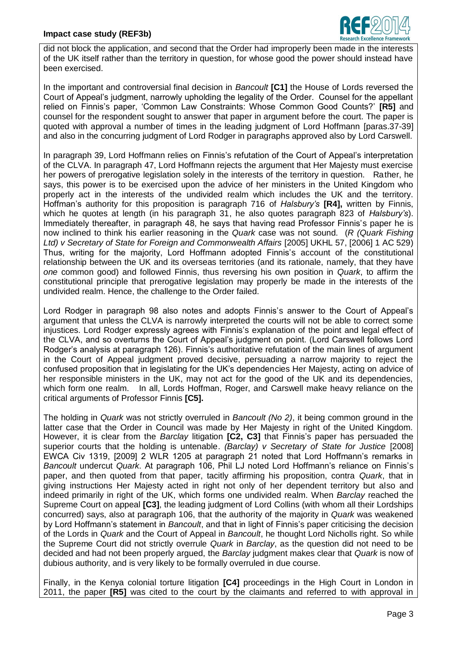

did not block the application, and second that the Order had improperly been made in the interests of the UK itself rather than the territory in question, for whose good the power should instead have been exercised.

In the important and controversial final decision in *Bancoult* **[C1]** the House of Lords reversed the Court of Appeal's judgment, narrowly upholding the legality of the Order. Counsel for the appellant relied on Finnis's paper, ‗Common Law Constraints: Whose Common Good Counts?' **[R5]** and counsel for the respondent sought to answer that paper in argument before the court. The paper is quoted with approval a number of times in the leading judgment of Lord Hoffmann [paras.37-39] and also in the concurring judgment of Lord Rodger in paragraphs approved also by Lord Carswell.

In paragraph 39, Lord Hoffmann relies on Finnis's refutation of the Court of Appeal's interpretation of the CLVA. In paragraph 47, Lord Hoffmann rejects the argument that Her Majesty must exercise her powers of prerogative legislation solely in the interests of the territory in question. Rather, he says, this power is to be exercised upon the advice of her ministers in the United Kingdom who properly act in the interests of the undivided realm which includes the UK and the territory. Hoffman's authority for this proposition is paragraph 716 of *Halsbury's* **[R4],** written by Finnis, which he quotes at length (in his paragraph 31, he also quotes paragraph 823 of *Halsbury's*). Immediately thereafter, in paragraph 48, he says that having read Professor Finnis's paper he is now inclined to think his earlier reasoning in the *Quark* case was not sound. (*R (Quark Fishing Ltd) v Secretary of State for Foreign and Commonwealth Affairs* [2005] UKHL 57, [2006] 1 AC 529) Thus, writing for the majority, Lord Hoffmann adopted Finnis's account of the constitutional relationship between the UK and its overseas territories (and its rationale, namely, that they have *one* common good) and followed Finnis, thus reversing his own position in *Quark*, to affirm the constitutional principle that prerogative legislation may properly be made in the interests of the undivided realm. Hence, the challenge to the Order failed.

Lord Rodger in paragraph 98 also notes and adopts Finnis's answer to the Court of Appeal's argument that unless the CLVA is narrowly interpreted the courts will not be able to correct some injustices. Lord Rodger expressly agrees with Finnis's explanation of the point and legal effect of the CLVA, and so overturns the Court of Appeal's judgment on point. (Lord Carswell follows Lord Rodger's analysis at paragraph 126). Finnis's authoritative refutation of the main lines of argument in the Court of Appeal judgment proved decisive, persuading a narrow majority to reject the confused proposition that in legislating for the UK's dependencies Her Majesty, acting on advice of her responsible ministers in the UK, may not act for the good of the UK and its dependencies. which form one realm. In all, Lords Hoffman, Roger, and Carswell make heavy reliance on the critical arguments of Professor Finnis **[C5].**

The holding in *Quark* was not strictly overruled in *Bancoult (No 2)*, it being common ground in the latter case that the Order in Council was made by Her Majesty in right of the United Kingdom. However, it is clear from the *Barclay* litigation **[C2, C3]** that Finnis's paper has persuaded the superior courts that the holding is untenable. *(Barclay) v Secretary of State for Justice* [2008] EWCA Civ 1319, [2009] 2 WLR 1205 at paragraph 21 noted that Lord Hoffmann's remarks in *Bancoult* undercut *Quark*. At paragraph 106, Phil LJ noted Lord Hoffmann's reliance on Finnis's paper, and then quoted from that paper, tacitly affirming his proposition, contra *Quark*, that in giving instructions Her Majesty acted in right not only of her dependent territory but also and indeed primarily in right of the UK, which forms one undivided realm. When *Barclay* reached the Supreme Court on appeal **[C3]**, the leading judgment of Lord Collins (with whom all their Lordships concurred) says, also at paragraph 106, that the authority of the majority in *Quark* was weakened by Lord Hoffmann's statement in *Bancoult*, and that in light of Finnis's paper criticising the decision of the Lords in *Quark* and the Court of Appeal in *Bancoult*, he thought Lord Nicholls right. So while the Supreme Court did not strictly overrule *Quark* in *Barclay*, as the question did not need to be decided and had not been properly argued, the *Barclay* judgment makes clear that *Quark* is now of dubious authority, and is very likely to be formally overruled in due course.

Finally, in the Kenya colonial torture litigation **[C4]** proceedings in the High Court in London in 2011, the paper **[R5]** was cited to the court by the claimants and referred to with approval in